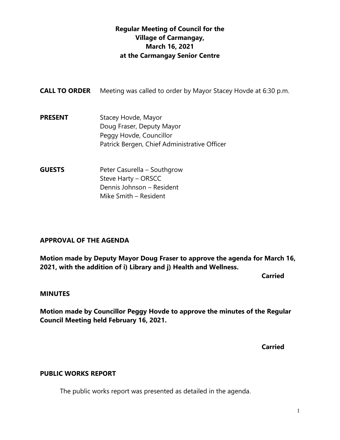## **Regular Meeting of Council for the Village of Carmangay, March 16, 2021 at the Carmangay Senior Centre**

| <b>CALL TO ORDER</b> | Meeting was called to order by Mayor Stacey Hovde at 6:30 p.m.                                                              |
|----------------------|-----------------------------------------------------------------------------------------------------------------------------|
| <b>PRESENT</b>       | Stacey Hovde, Mayor<br>Doug Fraser, Deputy Mayor<br>Peggy Hovde, Councillor<br>Patrick Bergen, Chief Administrative Officer |
| <b>GUESTS</b>        | Peter Casurella – Southgrow<br>Stave Harty - ORSCC                                                                          |

Steve Harty – ORSCC Dennis Johnson – Resident Mike Smith – Resident

## **APPROVAL OF THE AGENDA**

**Motion made by Deputy Mayor Doug Fraser to approve the agenda for March 16, 2021, with the addition of i) Library and j) Health and Wellness.**

**Carried** 

## **MINUTES**

**Motion made by Councillor Peggy Hovde to approve the minutes of the Regular Council Meeting held February 16, 2021.**

**Carried**

## **PUBLIC WORKS REPORT**

The public works report was presented as detailed in the agenda.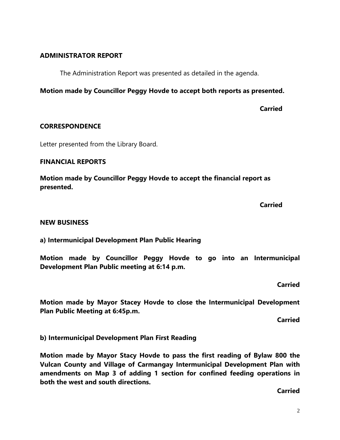### **ADMINISTRATOR REPORT**

The Administration Report was presented as detailed in the agenda.

## **Motion made by Councillor Peggy Hovde to accept both reports as presented.**

**Carried**

### **CORRESPONDENCE**

Letter presented from the Library Board.

### **FINANCIAL REPORTS**

**Motion made by Councillor Peggy Hovde to accept the financial report as presented.**

**Carried**

### **NEW BUSINESS**

**a) Intermunicipal Development Plan Public Hearing**

**Motion made by Councillor Peggy Hovde to go into an Intermunicipal Development Plan Public meeting at 6:14 p.m.**

**Carried**

**Motion made by Mayor Stacey Hovde to close the Intermunicipal Development Plan Public Meeting at 6:45p.m.**

**Carried**

**b) Intermunicipal Development Plan First Reading** 

**Motion made by Mayor Stacy Hovde to pass the first reading of Bylaw 800 the Vulcan County and Village of Carmangay Intermunicipal Development Plan with amendments on Map 3 of adding 1 section for confined feeding operations in both the west and south directions.**

**Carried**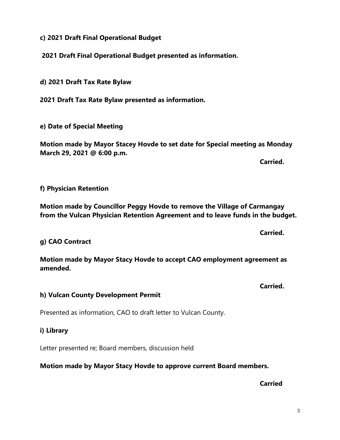**c) 2021 Draft Final Operational Budget**

**2021 Draft Final Operational Budget presented as information.**

**d) 2021 Draft Tax Rate Bylaw**

**2021 Draft Tax Rate Bylaw presented as information.**

**e) Date of Special Meeting**

**Motion made by Mayor Stacey Hovde to set date for Special meeting as Monday March 29, 2021 @ 6:00 p.m.**

**Carried.**

**Carried.**

### **f) Physician Retention**

**Motion made by Councillor Peggy Hovde to remove the Village of Carmangay from the Vulcan Physician Retention Agreement and to leave funds in the budget.**

**g) CAO Contract**

**Motion made by Mayor Stacy Hovde to accept CAO employment agreement as amended.** 

**Carried.**

### **h) Vulcan County Development Permit**

Presented as information, CAO to draft letter to Vulcan County.

### **i) Library**

Letter presented re; Board members, discussion held

**Motion made by Mayor Stacy Hovde to approve current Board members.**

**Carried**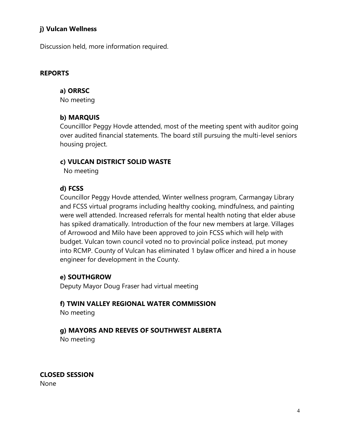## **j) Vulcan Wellness**

Discussion held, more information required.

## **REPORTS**

## **a) ORRSC**

No meeting

## **b) MARQUIS**

Councilllor Peggy Hovde attended, most of the meeting spent with auditor going over audited financial statements. The board still pursuing the multi-level seniors housing project.

## **c) VULCAN DISTRICT SOLID WASTE**

No meeting

## **d) FCSS**

Councillor Peggy Hovde attended, Winter wellness program, Carmangay Library and FCSS virtual programs including healthy cooking, mindfulness, and painting were well attended. Increased referrals for mental health noting that elder abuse has spiked dramatically. Introduction of the four new members at large. Villages of Arrowood and Milo have been approved to join FCSS which will help with budget. Vulcan town council voted no to provincial police instead, put money into RCMP. County of Vulcan has eliminated 1 bylaw officer and hired a in house engineer for development in the County.

## **e) SOUTHGROW**

Deputy Mayor Doug Fraser had virtual meeting

# **f) TWIN VALLEY REGIONAL WATER COMMISSION**

No meeting

## **g) MAYORS AND REEVES OF SOUTHWEST ALBERTA**

No meeting

**CLOSED SESSION** None